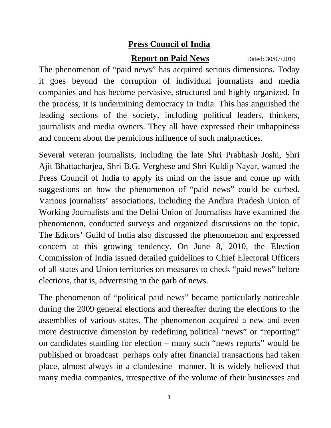### **Press Council of India**

**Report on Paid News** Dated: 30/07/2010

The phenomenon of "paid news" has acquired serious dimensions. Today it goes beyond the corruption of individual journalists and media companies and has become pervasive, structured and highly organized. In the process, it is undermining democracy in India. This has anguished the leading sections of the society, including political leaders, thinkers, journalists and media owners. They all have expressed their unhappiness and concern about the pernicious influence of such malpractices.

Several veteran journalists, including the late Shri Prabhash Joshi, Shri Ajit Bhattacharjea, Shri B.G. Verghese and Shri Kuldip Nayar, wanted the Press Council of India to apply its mind on the issue and come up with suggestions on how the phenomenon of "paid news" could be curbed. Various journalists' associations, including the Andhra Pradesh Union of Working Journalists and the Delhi Union of Journalists have examined the phenomenon, conducted surveys and organized discussions on the topic. The Editors' Guild of India also discussed the phenomenon and expressed concern at this growing tendency. On June 8, 2010, the Election Commission of India issued detailed guidelines to Chief Electoral Officers of all states and Union territories on measures to check "paid news" before elections, that is, advertising in the garb of news.

The phenomenon of "political paid news" became particularly noticeable during the 2009 general elections and thereafter during the elections to the assemblies of various states. The phenomenon acquired a new and even more destructive dimension by redefining political "news" or "reporting" on candidates standing for election – many such "news reports" would be published or broadcast perhaps only after financial transactions had taken place, almost always in a clandestine manner. It is widely believed that many media companies, irrespective of the volume of their businesses and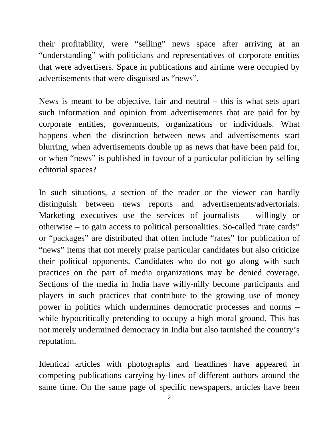their profitability, were "selling" news space after arriving at an "understanding" with politicians and representatives of corporate entities that were advertisers. Space in publications and airtime were occupied by advertisements that were disguised as "news".

News is meant to be objective, fair and neutral – this is what sets apart such information and opinion from advertisements that are paid for by corporate entities, governments, organizations or individuals. What happens when the distinction between news and advertisements start blurring, when advertisements double up as news that have been paid for, or when "news" is published in favour of a particular politician by selling editorial spaces?

In such situations, a section of the reader or the viewer can hardly distinguish between news reports and advertisements/advertorials. Marketing executives use the services of journalists – willingly or otherwise – to gain access to political personalities. So-called "rate cards" or "packages" are distributed that often include "rates" for publication of "news" items that not merely praise particular candidates but also criticize their political opponents. Candidates who do not go along with such practices on the part of media organizations may be denied coverage. Sections of the media in India have willy-nilly become participants and players in such practices that contribute to the growing use of money power in politics which undermines democratic processes and norms – while hypocritically pretending to occupy a high moral ground. This has not merely undermined democracy in India but also tarnished the country's reputation.

Identical articles with photographs and headlines have appeared in competing publications carrying by-lines of different authors around the same time. On the same page of specific newspapers, articles have been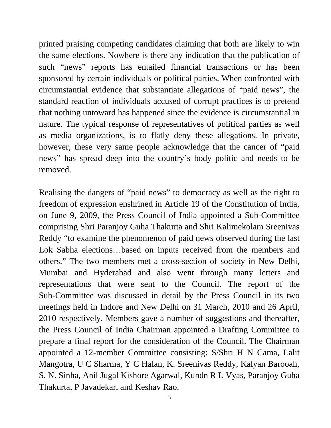printed praising competing candidates claiming that both are likely to win the same elections. Nowhere is there any indication that the publication of such "news" reports has entailed financial transactions or has been sponsored by certain individuals or political parties. When confronted with circumstantial evidence that substantiate allegations of "paid news", the standard reaction of individuals accused of corrupt practices is to pretend that nothing untoward has happened since the evidence is circumstantial in nature. The typical response of representatives of political parties as well as media organizations, is to flatly deny these allegations. In private, however, these very same people acknowledge that the cancer of "paid news" has spread deep into the country's body politic and needs to be removed.

Realising the dangers of "paid news" to democracy as well as the right to freedom of expression enshrined in Article 19 of the Constitution of India, on June 9, 2009, the Press Council of India appointed a Sub-Committee comprising Shri Paranjoy Guha Thakurta and Shri Kalimekolam Sreenivas Reddy "to examine the phenomenon of paid news observed during the last Lok Sabha elections…based on inputs received from the members and others." The two members met a cross-section of society in New Delhi, Mumbai and Hyderabad and also went through many letters and representations that were sent to the Council. The report of the Sub-Committee was discussed in detail by the Press Council in its two meetings held in Indore and New Delhi on 31 March, 2010 and 26 April, 2010 respectively. Members gave a number of suggestions and thereafter, the Press Council of India Chairman appointed a Drafting Committee to prepare a final report for the consideration of the Council. The Chairman appointed a 12-member Committee consisting: S/Shri H N Cama, Lalit Mangotra, U C Sharma, Y C Halan, K. Sreenivas Reddy, Kalyan Barooah, S. N. Sinha, Anil Jugal Kishore Agarwal, Kundn R L Vyas, Paranjoy Guha Thakurta, P Javadekar, and Keshav Rao.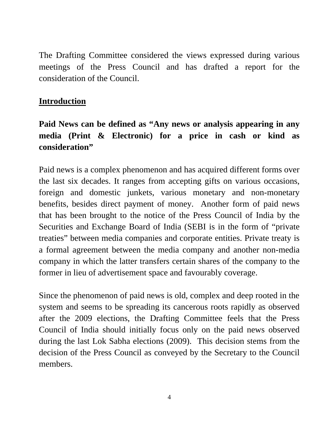The Drafting Committee considered the views expressed during various meetings of the Press Council and has drafted a report for the consideration of the Council.

#### **Introduction**

## **Paid News can be defined as "Any news or analysis appearing in any media (Print & Electronic) for a price in cash or kind as consideration"**

Paid news is a complex phenomenon and has acquired different forms over the last six decades. It ranges from accepting gifts on various occasions, foreign and domestic junkets, various monetary and non-monetary benefits, besides direct payment of money. Another form of paid news that has been brought to the notice of the Press Council of India by the Securities and Exchange Board of India (SEBI is in the form of "private treaties" between media companies and corporate entities. Private treaty is a formal agreement between the media company and another non-media company in which the latter transfers certain shares of the company to the former in lieu of advertisement space and favourably coverage.

Since the phenomenon of paid news is old, complex and deep rooted in the system and seems to be spreading its cancerous roots rapidly as observed after the 2009 elections, the Drafting Committee feels that the Press Council of India should initially focus only on the paid news observed during the last Lok Sabha elections (2009). This decision stems from the decision of the Press Council as conveyed by the Secretary to the Council members.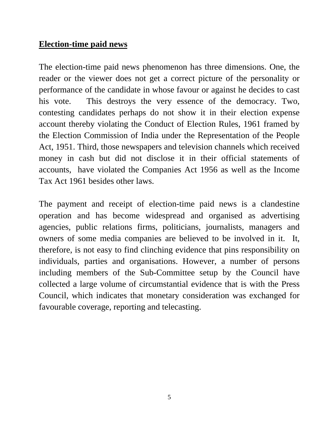#### **Election-time paid news**

The election-time paid news phenomenon has three dimensions. One, the reader or the viewer does not get a correct picture of the personality or performance of the candidate in whose favour or against he decides to cast his vote. This destroys the very essence of the democracy. Two, contesting candidates perhaps do not show it in their election expense account thereby violating the Conduct of Election Rules, 1961 framed by the Election Commission of India under the Representation of the People Act, 1951. Third, those newspapers and television channels which received money in cash but did not disclose it in their official statements of accounts, have violated the Companies Act 1956 as well as the Income Tax Act 1961 besides other laws.

The payment and receipt of election-time paid news is a clandestine operation and has become widespread and organised as advertising agencies, public relations firms, politicians, journalists, managers and owners of some media companies are believed to be involved in it. It, therefore, is not easy to find clinching evidence that pins responsibility on individuals, parties and organisations. However, a number of persons including members of the Sub-Committee setup by the Council have collected a large volume of circumstantial evidence that is with the Press Council, which indicates that monetary consideration was exchanged for favourable coverage, reporting and telecasting.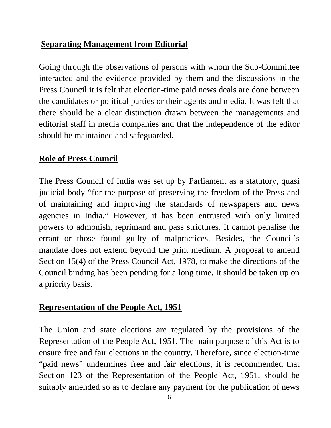## **Separating Management from Editorial**

Going through the observations of persons with whom the Sub-Committee interacted and the evidence provided by them and the discussions in the Press Council it is felt that election-time paid news deals are done between the candidates or political parties or their agents and media. It was felt that there should be a clear distinction drawn between the managements and editorial staff in media companies and that the independence of the editor should be maintained and safeguarded.

# **Role of Press Council**

The Press Council of India was set up by Parliament as a statutory, quasi judicial body "for the purpose of preserving the freedom of the Press and of maintaining and improving the standards of newspapers and news agencies in India." However, it has been entrusted with only limited powers to admonish, reprimand and pass strictures. It cannot penalise the errant or those found guilty of malpractices. Besides, the Council's mandate does not extend beyond the print medium. A proposal to amend Section 15(4) of the Press Council Act, 1978, to make the directions of the Council binding has been pending for a long time. It should be taken up on a priority basis.

### **Representation of the People Act, 1951**

The Union and state elections are regulated by the provisions of the Representation of the People Act, 1951. The main purpose of this Act is to ensure free and fair elections in the country. Therefore, since election-time "paid news" undermines free and fair elections, it is recommended that Section 123 of the Representation of the People Act, 1951, should be suitably amended so as to declare any payment for the publication of news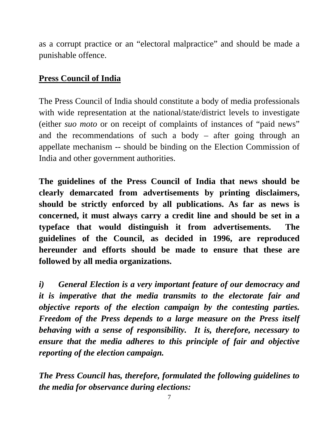as a corrupt practice or an "electoral malpractice" and should be made a punishable offence.

### **Press Council of India**

The Press Council of India should constitute a body of media professionals with wide representation at the national/state/district levels to investigate (either *suo moto* or on receipt of complaints of instances of "paid news" and the recommendations of such a body – after going through an appellate mechanism -- should be binding on the Election Commission of India and other government authorities.

**The guidelines of the Press Council of India that news should be clearly demarcated from advertisements by printing disclaimers, should be strictly enforced by all publications. As far as news is concerned, it must always carry a credit line and should be set in a typeface that would distinguish it from advertisements. The guidelines of the Council, as decided in 1996, are reproduced hereunder and efforts should be made to ensure that these are followed by all media organizations.** 

*i) General Election is a very important feature of our democracy and it is imperative that the media transmits to the electorate fair and objective reports of the election campaign by the contesting parties. Freedom of the Press depends to a large measure on the Press itself behaving with a sense of responsibility. It is, therefore, necessary to ensure that the media adheres to this principle of fair and objective reporting of the election campaign.*

*The Press Council has, therefore, formulated the following guidelines to the media for observance during elections:*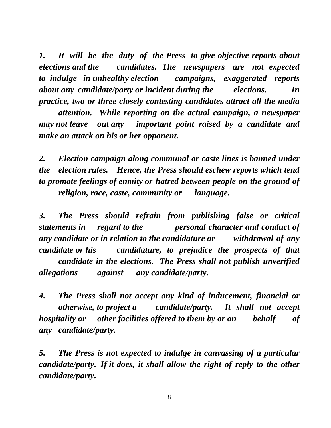*1. It will be the duty of the Press to give objective reports about elections and the candidates. The newspapers are not expected to indulge in unhealthy election campaigns, exaggerated reports about any candidate/party or incident during the elections. In practice, two or three closely contesting candidates attract all the media* 

*attention. While reporting on the actual campaign, a newspaper may not leave out any important point raised by a candidate and make an attack on his or her opponent.*

*2. Election campaign along communal or caste lines is banned under the election rules. Hence, the Press should eschew reports which tend to promote feelings of enmity or hatred between people on the ground of religion, race, caste, community or language.*

*3. The Press should refrain from publishing false or critical statements in regard to the personal character and conduct of any candidate or in relation to the candidature or withdrawal of any candidate or his candidature, to prejudice the prospects of that candidate in the elections. The Press shall not publish unverified allegations against any candidate/party.*

*4. The Press shall not accept any kind of inducement, financial or otherwise, to project a candidate/party. It shall not accept hospitality or other facilities offered to them by or on behalf of any candidate/party.*

*5. The Press is not expected to indulge in canvassing of a particular candidate/party. If it does, it shall allow the right of reply to the other candidate/party.*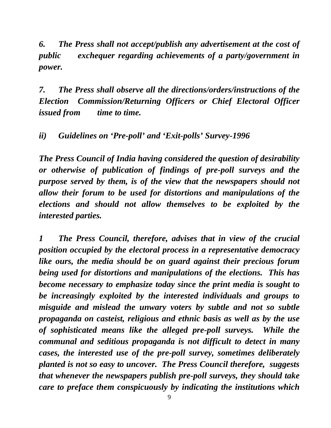*6. The Press shall not accept/publish any advertisement at the cost of public exchequer regarding achievements of a party/government in power.*

*7. The Press shall observe all the directions/orders/instructions of the Election Commission/Returning Officers or Chief Electoral Officer issued from time to time.*

*ii) Guidelines on 'Pre-poll' and 'Exit-polls' Survey-1996*

*The Press Council of India having considered the question of desirability or otherwise of publication of findings of pre-poll surveys and the purpose served by them, is of the view that the newspapers should not allow their forum to be used for distortions and manipulations of the elections and should not allow themselves to be exploited by the interested parties.*

*1 The Press Council, therefore, advises that in view of the crucial position occupied by the electoral process in a representative democracy like ours, the media should be on guard against their precious forum being used for distortions and manipulations of the elections. This has become necessary to emphasize today since the print media is sought to be increasingly exploited by the interested individuals and groups to misguide and mislead the unwary voters by subtle and not so subtle propaganda on casteist, religious and ethnic basis as well as by the use of sophisticated means like the alleged pre-poll surveys. While the communal and seditious propaganda is not difficult to detect in many cases, the interested use of the pre-poll survey, sometimes deliberately planted is not so easy to uncover. The Press Council therefore, suggests that whenever the newspapers publish pre-poll surveys, they should take care to preface them conspicuously by indicating the institutions which*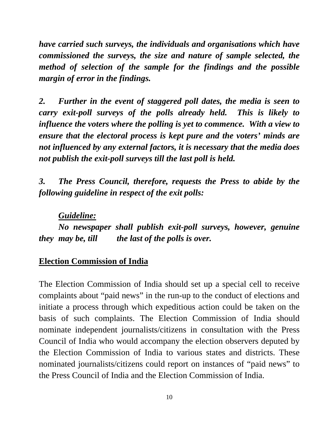*have carried such surveys, the individuals and organisations which have commissioned the surveys, the size and nature of sample selected, the method of selection of the sample for the findings and the possible margin of error in the findings.*

*2. Further in the event of staggered poll dates, the media is seen to carry exit-poll surveys of the polls already held. This is likely to influence the voters where the polling is yet to commence. With a view to ensure that the electoral process is kept pure and the voters' minds are not influenced by any external factors, it is necessary that the media does not publish the exit-poll surveys till the last poll is held.*

*3. The Press Council, therefore, requests the Press to abide by the following guideline in respect of the exit polls:*

### *Guideline:*

*No newspaper shall publish exit-poll surveys, however, genuine they may be, till the last of the polls is over.*

### **Election Commission of India**

The Election Commission of India should set up a special cell to receive complaints about "paid news" in the run-up to the conduct of elections and initiate a process through which expeditious action could be taken on the basis of such complaints. The Election Commission of India should nominate independent journalists/citizens in consultation with the Press Council of India who would accompany the election observers deputed by the Election Commission of India to various states and districts. These nominated journalists/citizens could report on instances of "paid news" to the Press Council of India and the Election Commission of India.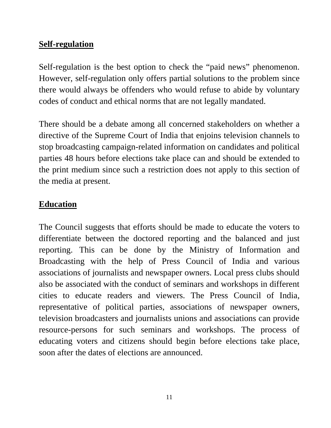### **Self-regulation**

Self-regulation is the best option to check the "paid news" phenomenon. However, self-regulation only offers partial solutions to the problem since there would always be offenders who would refuse to abide by voluntary codes of conduct and ethical norms that are not legally mandated.

There should be a debate among all concerned stakeholders on whether a directive of the Supreme Court of India that enjoins television channels to stop broadcasting campaign-related information on candidates and political parties 48 hours before elections take place can and should be extended to the print medium since such a restriction does not apply to this section of the media at present.

## **Education**

The Council suggests that efforts should be made to educate the voters to differentiate between the doctored reporting and the balanced and just reporting. This can be done by the Ministry of Information and Broadcasting with the help of Press Council of India and various associations of journalists and newspaper owners. Local press clubs should also be associated with the conduct of seminars and workshops in different cities to educate readers and viewers. The Press Council of India, representative of political parties, associations of newspaper owners, television broadcasters and journalists unions and associations can provide resource-persons for such seminars and workshops. The process of educating voters and citizens should begin before elections take place, soon after the dates of elections are announced.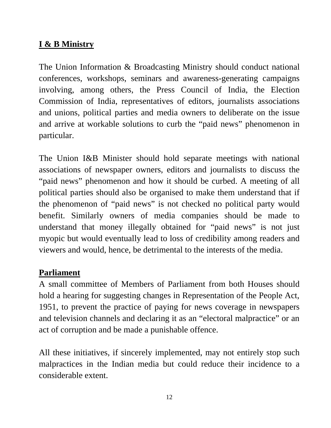## **I & B Ministry**

The Union Information & Broadcasting Ministry should conduct national conferences, workshops, seminars and awareness-generating campaigns involving, among others, the Press Council of India, the Election Commission of India, representatives of editors, journalists associations and unions, political parties and media owners to deliberate on the issue and arrive at workable solutions to curb the "paid news" phenomenon in particular.

The Union I&B Minister should hold separate meetings with national associations of newspaper owners, editors and journalists to discuss the "paid news" phenomenon and how it should be curbed. A meeting of all political parties should also be organised to make them understand that if the phenomenon of "paid news" is not checked no political party would benefit. Similarly owners of media companies should be made to understand that money illegally obtained for "paid news" is not just myopic but would eventually lead to loss of credibility among readers and viewers and would, hence, be detrimental to the interests of the media.

## **Parliament**

A small committee of Members of Parliament from both Houses should hold a hearing for suggesting changes in Representation of the People Act, 1951, to prevent the practice of paying for news coverage in newspapers and television channels and declaring it as an "electoral malpractice" or an act of corruption and be made a punishable offence.

All these initiatives, if sincerely implemented, may not entirely stop such malpractices in the Indian media but could reduce their incidence to a considerable extent.